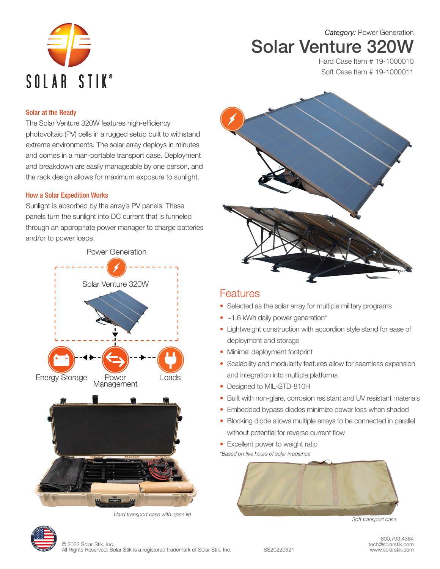

*Category:* Power Generation Solar Venture 320W

> Hard Case Item # 19-1000010 Soft Case Item # 19-1000011

## Solar at the Ready

The Solar Venture 320W features high-efficiency photovoltaic (PV) cells in a rugged setup built to withstand extreme environments. The solar array deploys in minutes and comes in a man-portable transport case. Deployment and breakdown are easily manageable by one person, and the rack design allows for maximum exposure to sunlight.

## How a Solar Expedition Works

Sunlight is absorbed by the array's PV panels. These panels turn the sunlight into DC current that is funneled through an appropriate power manager to charge batteries and/or to power loads.







## **Features**

- Selected as the solar array for multiple military programs
- ~1.6 kWh daily power generation\*
- Lightweight construction with accordion style stand for ease of deployment and storage
- Minimal deployment footprint
- Scalability and modularity features allow for seamless expansion and integration into multiple platforms
- Designed to MIL-STD-810H
- Built with non-glare, corrosion resistant and UV resistant materials
- Embedded bypass diodes minimize power loss when shaded
- Blocking diode allows multiple arrays to be connected in parallel without potential for reverse current flow
- Excellent power to weight ratio

*\*Based on five hours of solar irradiance*